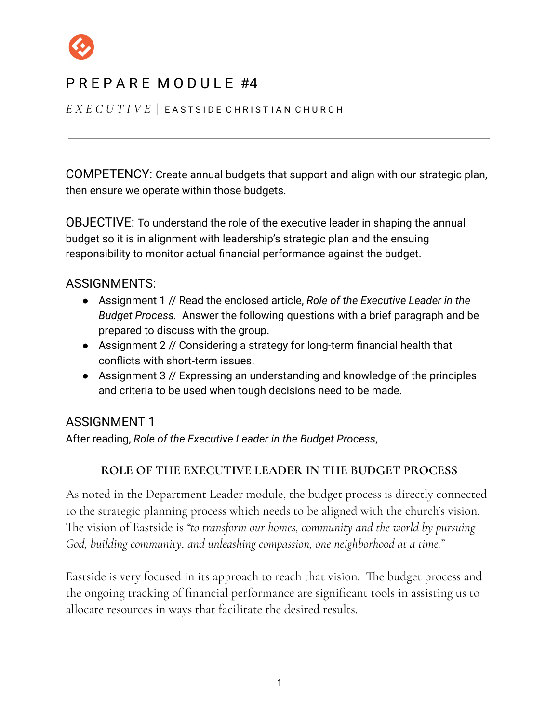

# PREPARE MODULE #4

*E X E C U T I V E* | E A S T S I D E C H R I S T I A N C H U R C H

COMPETENCY: Create annual budgets that support and align with our strategic plan, then ensure we operate within those budgets.

OBJECTIVE: To understand the role of the executive leader in shaping the annual budget so it is in alignment with leadership's strategic plan and the ensuing responsibility to monitor actual financial performance against the budget.

### ASSIGNMENTS:

- Assignment 1 // Read the enclosed article, *Role of the Executive Leader in the Budget Process.* Answer the following questions with a brief paragraph and be prepared to discuss with the group.
- Assignment 2 // Considering a strategy for long-term financial health that conflicts with short-term issues.
- Assignment 3 // Expressing an understanding and knowledge of the principles and criteria to be used when tough decisions need to be made.

### ASSIGNMENT 1

After reading, *Role of the Executive Leader in the Budget Process*,

### **ROLE OF THE EXECUTIVE LEADER IN THE BUDGET PROCESS**

As noted in the Department Leader module, the budget process is directly connected to the strategic planning process which needs to be aligned with the church's vision. The vision of Eastside is *"to transform our homes, community and the world by pursuing God, building community, and unleashing compassion, one neighborhood at a time."*

Eastside is very focused in its approach to reach that vision. The budget process and the ongoing tracking of financial performance are significant tools in assisting us to allocate resources in ways that facilitate the desired results.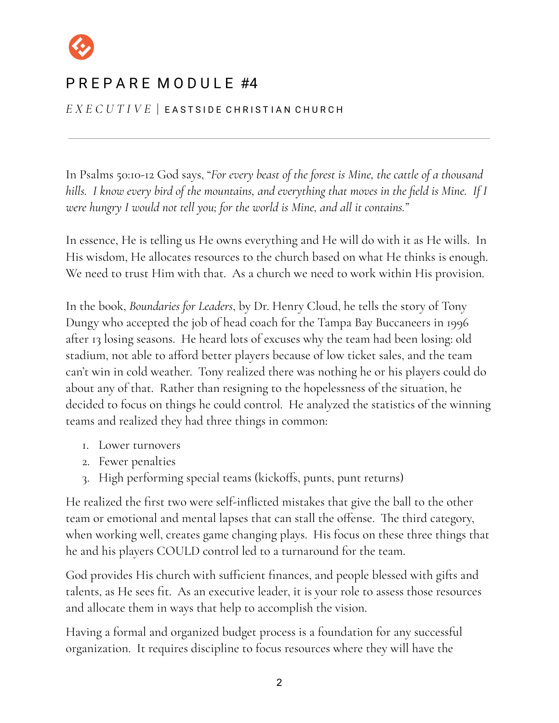

*E X E C U T I V E* | E A S T S I D E C H R I S T I A N C H U R C H

In Psalms 50:10-12 God says, "*For every beast of the forest is Mine, the cattle of a thousand* hills. I know every bird of the mountains, and everything that moves in the field is Mine. If I *were hungry I would not tell you; for the world is Mine, and all it contains."*

In essence, He is telling us He owns everything and He will do with it as He wills. In His wisdom, He allocates resources to the church based on what He thinks is enough. We need to trust Him with that. As a church we need to work within His provision.

In the book, *Boundaries for Leaders*, by Dr. Henry Cloud, he tells the story of Tony Dungy who accepted the job of head coach for the Tampa Bay Buccaneers in 1996 after 13 losing seasons. He heard lots of excuses why the team had been losing: old stadium, not able to afford better players because of low ticket sales, and the team can't win in cold weather. Tony realized there was nothing he or his players could do about any of that. Rather than resigning to the hopelessness of the situation, he decided to focus on things he could control. He analyzed the statistics of the winning teams and realized they had three things in common:

- 1. Lower turnovers
- 2. Fewer penalties
- 3. High performing special teams (kickoffs, punts, punt returns)

He realized the first two were self-inflicted mistakes that give the ball to the other team or emotional and mental lapses that can stall the offense. The third category, when working well, creates game changing plays. His focus on these three things that he and his players COULD control led to a turnaround for the team.

God provides His church with sufficient finances, and people blessed with gifts and talents, as He sees fit. As an executive leader, it is your role to assess those resources and allocate them in ways that help to accomplish the vision.

Having a formal and organized budget process is a foundation for any successful organization. It requires discipline to focus resources where they will have the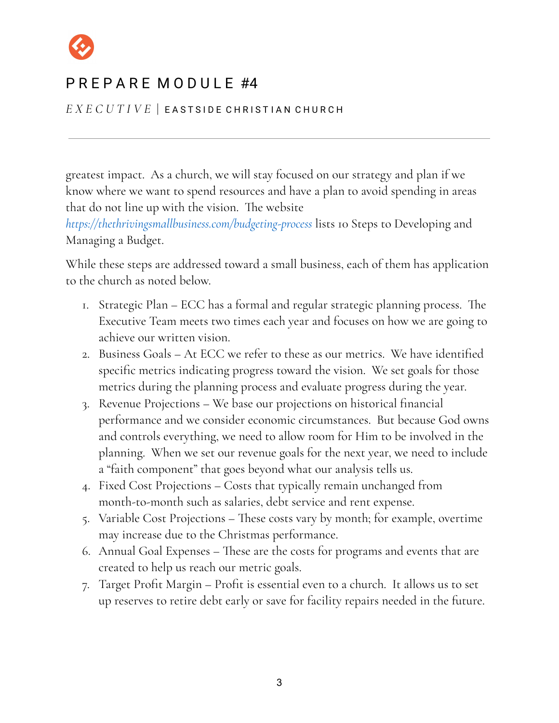

*E X E C U T I V E* | E A S T S I D E C H R I S T I A N C H U R C H

greatest impact. As a church, we will stay focused on our strategy and plan if we know where we want to spend resources and have a plan to avoid spending in areas that do not line up with the vision. The website

*<https://thethrivingsmallbusiness.com/budgeting-process>* lists 10 Steps to Developing and Managing a Budget.

While these steps are addressed toward a small business, each of them has application to the church as noted below.

- 1. Strategic Plan ECC has a formal and regular strategic planning process. The Executive Team meets two times each year and focuses on how we are going to achieve our written vision.
- 2. Business Goals At ECC we refer to these as our metrics. We have identified specific metrics indicating progress toward the vision. We set goals for those metrics during the planning process and evaluate progress during the year.
- 3. Revenue Projections We base our projections on historical financial performance and we consider economic circumstances. But because God owns and controls everything, we need to allow room for Him to be involved in the planning. When we set our revenue goals for the next year, we need to include a "faith component" that goes beyond what our analysis tells us.
- 4. Fixed Cost Projections Costs that typically remain unchanged from month-to-month such as salaries, debt service and rent expense.
- 5. Variable Cost Projections These costs vary by month; for example, overtime may increase due to the Christmas performance.
- 6. Annual Goal Expenses These are the costs for programs and events that are created to help us reach our metric goals.
- 7. Target Profit Margin Profit is essential even to a church. It allows us to set up reserves to retire debt early or save for facility repairs needed in the future.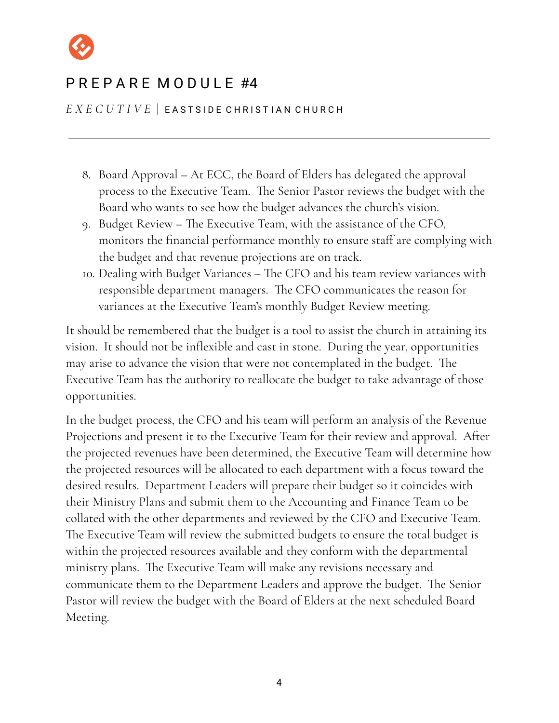

#### *E X E C U T I V E* | E A S T S I D E C H R I S T I A N C H U R C H

- 8. Board Approval At ECC, the Board of Elders has delegated the approval process to the Executive Team. The Senior Pastor reviews the budget with the Board who wants to see how the budget advances the church's vision.
- 9. Budget Review The Executive Team, with the assistance of the CFO, monitors the financial performance monthly to ensure staff are complying with the budget and that revenue projections are on track.
- 10. Dealing with Budget Variances The CFO and his team review variances with responsible department managers. The CFO communicates the reason for variances at the Executive Team's monthly Budget Review meeting.

It should be remembered that the budget is a tool to assist the church in attaining its vision. It should not be inflexible and cast in stone. During the year, opportunities may arise to advance the vision that were not contemplated in the budget. The Executive Team has the authority to reallocate the budget to take advantage of those opportunities.

In the budget process, the CFO and his team will perform an analysis of the Revenue Projections and present it to the Executive Team for their review and approval. After the projected revenues have been determined, the Executive Team will determine how the projected resources will be allocated to each department with a focus toward the desired results. Department Leaders will prepare their budget so it coincides with their Ministry Plans and submit them to the Accounting and Finance Team to be collated with the other departments and reviewed by the CFO and Executive Team. The Executive Team will review the submitted budgets to ensure the total budget is within the projected resources available and they conform with the departmental ministry plans. The Executive Team will make any revisions necessary and communicate them to the Department Leaders and approve the budget. The Senior Pastor will review the budget with the Board of Elders at the next scheduled Board Meeting.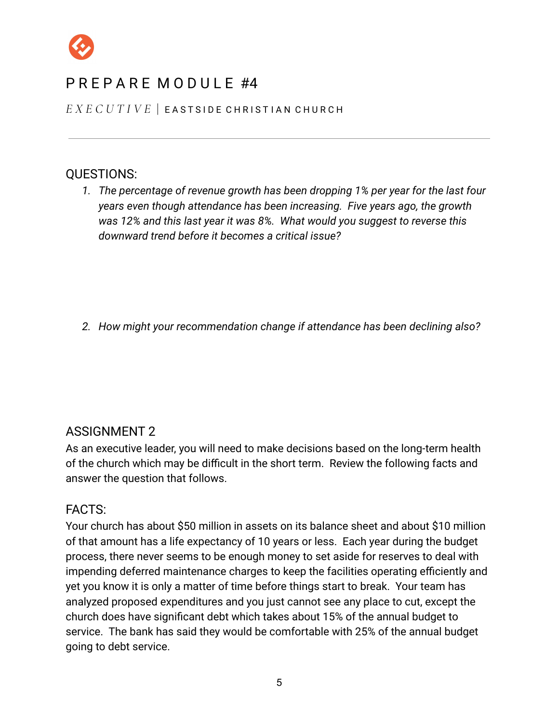

# $PR$  F P A R F M O D U L F  $#4$

*E X E C U T I V E* | E A S T S I D E C H R I S T I A N C H U R C H

### QUESTIONS:

*1. The percentage of revenue growth has been dropping 1% per year for the last four years even though attendance has been increasing. Five years ago, the growth was 12% and this last year it was 8%. What would you suggest to reverse this downward trend before it becomes a critical issue?*

*2. How might your recommendation change if attendance has been declining also?*

### ASSIGNMENT 2

As an executive leader, you will need to make decisions based on the long-term health of the church which may be difficult in the short term. Review the following facts and answer the question that follows.

#### FACTS:

Your church has about \$50 million in assets on its balance sheet and about \$10 million of that amount has a life expectancy of 10 years or less. Each year during the budget process, there never seems to be enough money to set aside for reserves to deal with impending deferred maintenance charges to keep the facilities operating efficiently and yet you know it is only a matter of time before things start to break. Your team has analyzed proposed expenditures and you just cannot see any place to cut, except the church does have significant debt which takes about 15% of the annual budget to service. The bank has said they would be comfortable with 25% of the annual budget going to debt service.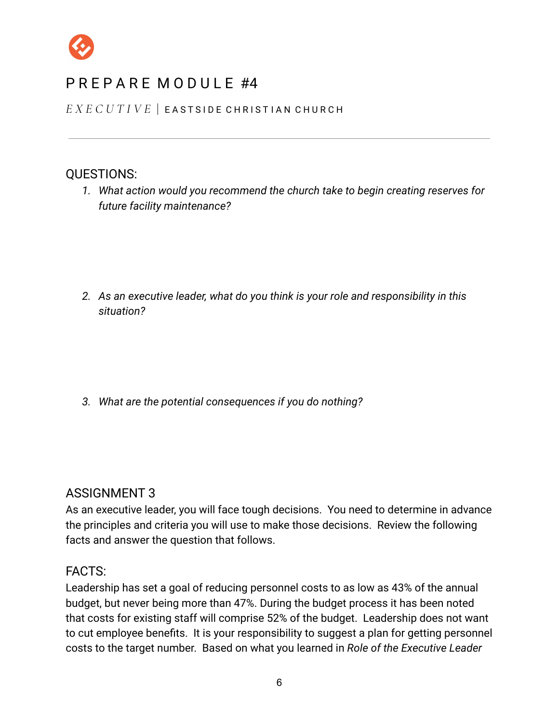

# P R F P A R F M O D U L F #4

*E X E C U T I V E* | E A S T S I D E C H R I S T I A N C H U R C H

### QUESTIONS:

*1. What action would you recommend the church take to begin creating reserves for future facility maintenance?*

*2. As an executive leader, what do you think is your role and responsibility in this situation?*

*3. What are the potential consequences if you do nothing?*

### ASSIGNMENT 3

As an executive leader, you will face tough decisions. You need to determine in advance the principles and criteria you will use to make those decisions. Review the following facts and answer the question that follows.

#### FACTS:

Leadership has set a goal of reducing personnel costs to as low as 43% of the annual budget, but never being more than 47%. During the budget process it has been noted that costs for existing staff will comprise 52% of the budget. Leadership does not want to cut employee benefits. It is your responsibility to suggest a plan for getting personnel costs to the target number. Based on what you learned in *Role of the Executive Leader*